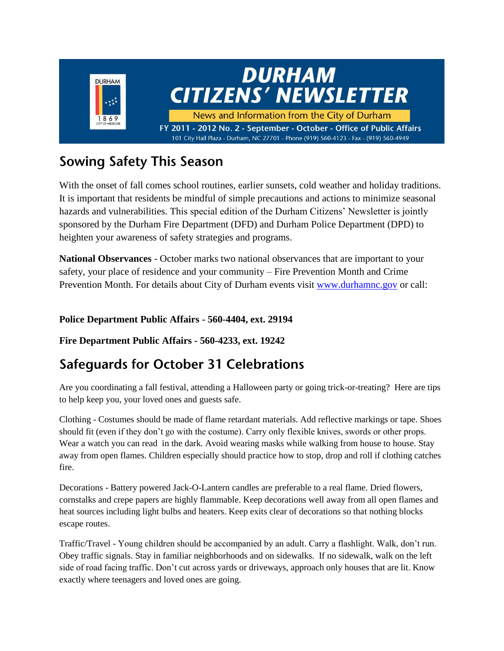

# **Sowing Safety This Season**

With the onset of fall comes school routines, earlier sunsets, cold weather and holiday traditions. It is important that residents be mindful of simple precautions and actions to minimize seasonal hazards and vulnerabilities. This special edition of the Durham Citizens' Newsletter is jointly sponsored by the Durham Fire Department (DFD) and Durham Police Department (DPD) to heighten your awareness of safety strategies and programs.

**National Observances** - October marks two national observances that are important to your safety, your place of residence and your community – Fire Prevention Month and Crime Prevention Month. For details about City of Durham events visit [www.durhamnc.gov](http://www.durhamnc.gov/) or call:

#### **Police Department Public Affairs - 560-4404, ext. 29194**

**Fire Department Public Affairs - 560-4233, ext. 19242**

### **Safequards for October 31 Celebrations**

Are you coordinating a fall festival, attending a Halloween party or going trick-or-treating? Here are tips to help keep you, your loved ones and guests safe.

Clothing - Costumes should be made of flame retardant materials. Add reflective markings or tape. Shoes should fit (even if they don't go with the costume). Carry only flexible knives, swords or other props. Wear a watch you can read in the dark. Avoid wearing masks while walking from house to house. Stay away from open flames. Children especially should practice how to stop, drop and roll if clothing catches fire.

Decorations - Battery powered Jack-O-Lantern candles are preferable to a real flame. Dried flowers, cornstalks and crepe papers are highly flammable. Keep decorations well away from all open flames and heat sources including light bulbs and heaters. Keep exits clear of decorations so that nothing blocks escape routes.

Traffic/Travel - Young children should be accompanied by an adult. Carry a flashlight. Walk, don't run. Obey traffic signals. Stay in familiar neighborhoods and on sidewalks. If no sidewalk, walk on the left side of road facing traffic. Don't cut across yards or driveways, approach only houses that are lit. Know exactly where teenagers and loved ones are going.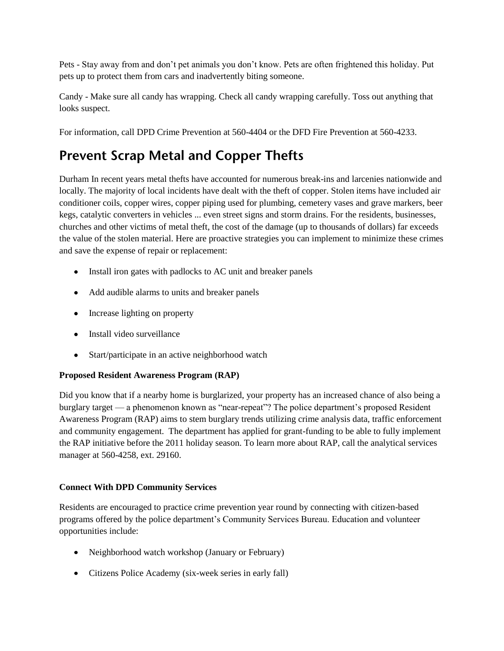Pets - Stay away from and don't pet animals you don't know. Pets are often frightened this holiday. Put pets up to protect them from cars and inadvertently biting someone.

Candy - Make sure all candy has wrapping. Check all candy wrapping carefully. Toss out anything that looks suspect.

For information, call DPD Crime Prevention at 560-4404 or the DFD Fire Prevention at 560-4233.

## **Prevent Scrap Metal and Copper Thefts**

Durham In recent years metal thefts have accounted for numerous break-ins and larcenies nationwide and locally. The majority of local incidents have dealt with the theft of copper. Stolen items have included air conditioner coils, copper wires, copper piping used for plumbing, cemetery vases and grave markers, beer kegs, catalytic converters in vehicles ... even street signs and storm drains. For the residents, businesses, churches and other victims of metal theft, the cost of the damage (up to thousands of dollars) far exceeds the value of the stolen material. Here are proactive strategies you can implement to minimize these crimes and save the expense of repair or replacement:

- Install iron gates with padlocks to AC unit and breaker panels
- Add audible alarms to units and breaker panels
- Increase lighting on property
- Install video surveillance
- Start/participate in an active neighborhood watch

#### **Proposed Resident Awareness Program (RAP)**

Did you know that if a nearby home is burglarized, your property has an increased chance of also being a burglary target — a phenomenon known as "near-repeat"? The police department's proposed Resident Awareness Program (RAP) aims to stem burglary trends utilizing crime analysis data, traffic enforcement and community engagement. The department has applied for grant-funding to be able to fully implement the RAP initiative before the 2011 holiday season. To learn more about RAP, call the analytical services manager at 560-4258, ext. 29160.

#### **Connect With DPD Community Services**

Residents are encouraged to practice crime prevention year round by connecting with citizen-based programs offered by the police department's Community Services Bureau. Education and volunteer opportunities include:

- Neighborhood watch workshop (January or February)
- Citizens Police Academy (six-week series in early fall)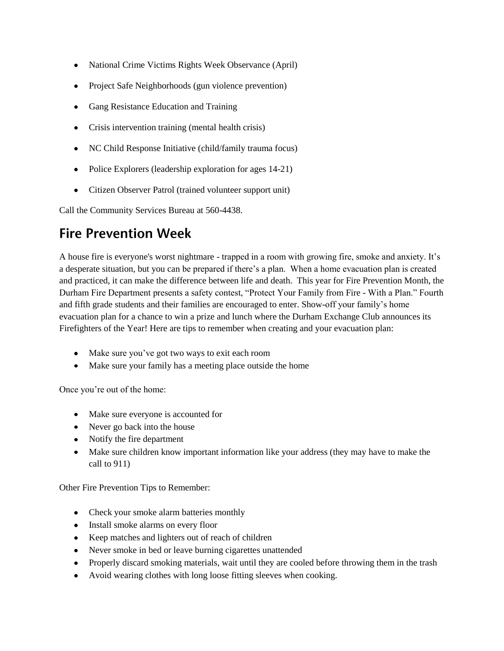- National Crime Victims Rights Week Observance (April)
- Project Safe Neighborhoods (gun violence prevention)
- Gang Resistance Education and Training
- Crisis intervention training (mental health crisis)  $\bullet$
- NC Child Response Initiative (child/family trauma focus)
- Police Explorers (leadership exploration for ages 14-21)
- Citizen Observer Patrol (trained volunteer support unit)

Call the Community Services Bureau at 560-4438.

### **Fire Prevention Week**

A house fire is everyone's worst nightmare - trapped in a room with growing fire, smoke and anxiety. It's a desperate situation, but you can be prepared if there's a plan. When a home evacuation plan is created and practiced, it can make the difference between life and death. This year for Fire Prevention Month, the Durham Fire Department presents a safety contest, "Protect Your Family from Fire - With a Plan." Fourth and fifth grade students and their families are encouraged to enter. Show-off your family's home evacuation plan for a chance to win a prize and lunch where the Durham Exchange Club announces its Firefighters of the Year! Here are tips to remember when creating and your evacuation plan:

- Make sure you've got two ways to exit each room
- Make sure your family has a meeting place outside the home

Once you're out of the home:

- Make sure everyone is accounted for
- Never go back into the house
- Notify the fire department
- Make sure children know important information like your address (they may have to make the call to 911)

Other Fire Prevention Tips to Remember:

- Check your smoke alarm batteries monthly
- Install smoke alarms on every floor
- Keep matches and lighters out of reach of children
- Never smoke in bed or leave burning cigarettes unattended
- Properly discard smoking materials, wait until they are cooled before throwing them in the trash
- Avoid wearing clothes with long loose fitting sleeves when cooking. $\bullet$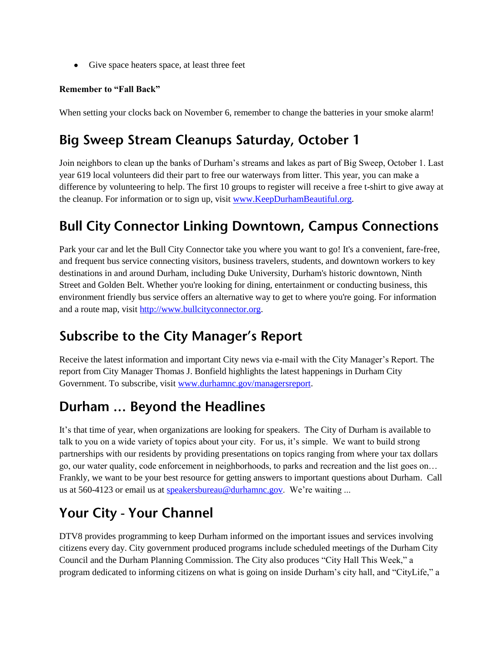Give space heaters space, at least three feet

#### **Remember to "Fall Back"**

When setting your clocks back on November 6, remember to change the batteries in your smoke alarm!

# Big Sweep Stream Cleanups Saturday, October 1

Join neighbors to clean up the banks of Durham's streams and lakes as part of Big Sweep, October 1. Last year 619 local volunteers did their part to free our waterways from litter. This year, you can make a difference by volunteering to help. The first 10 groups to register will receive a free t-shirt to give away at the cleanup. For information or to sign up, visit [www.KeepDurhamBeautiful.org.](http://www.keepdurhambeautiful.org/)

## **Bull City Connector Linking Downtown, Campus Connections**

Park your car and let the Bull City Connector take you where you want to go! It's a convenient, fare-free, and frequent bus service connecting visitors, business travelers, students, and downtown workers to key destinations in and around Durham, including Duke University, Durham's historic downtown, Ninth Street and Golden Belt. Whether you're looking for dining, entertainment or conducting business, this environment friendly bus service offers an alternative way to get to where you're going. For information and a route map, visit [http://www.bullcityconnector.org.](http://www.bullcityconnector.org/)

### **Subscribe to the City Manager's Report**

Receive the latest information and important City news via e-mail with the City Manager's Report. The report from City Manager Thomas J. Bonfield highlights the latest happenings in Durham City Government. To subscribe, visit [www.durhamnc.gov/managersreport.](http://www.durhamnc.gov/managersreport)

## Durham ... Beyond the Headlines

It's that time of year, when organizations are looking for speakers. The City of Durham is available to talk to you on a wide variety of topics about your city. For us, it's simple. We want to build strong partnerships with our residents by providing presentations on topics ranging from where your tax dollars go, our water quality, code enforcement in neighborhoods, to parks and recreation and the list goes on… Frankly, we want to be your best resource for getting answers to important questions about Durham. Call us at 560-4123 or email us at [speakersbureau@durhamnc.gov.](mailto:speakersbureau@durhamnc.gov) We're waiting ...

# Your City - Your Channel

DTV8 provides programming to keep Durham informed on the important issues and services involving citizens every day. City government produced programs include scheduled meetings of the Durham City Council and the Durham Planning Commission. The City also produces "City Hall This Week," a program dedicated to informing citizens on what is going on inside Durham's city hall, and "CityLife," a